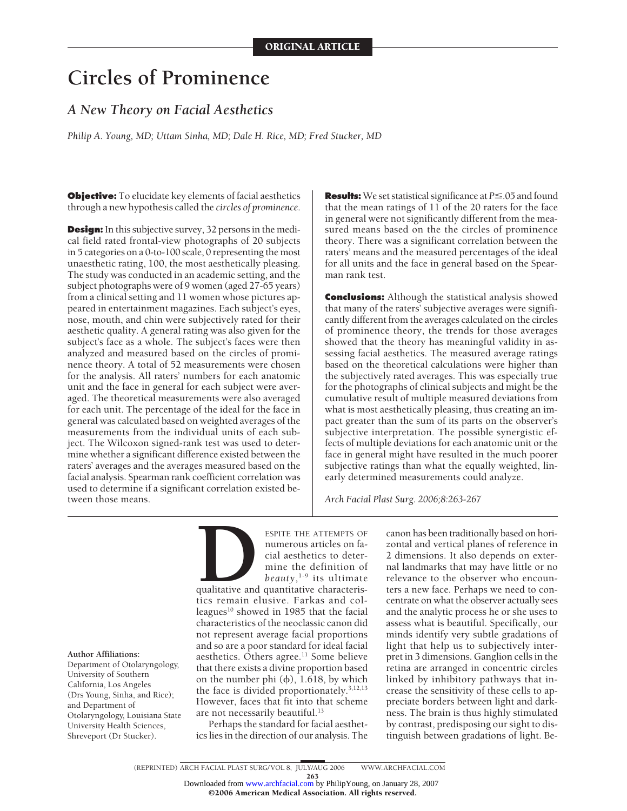# **Circles of Prominence**

# *A New Theory on Facial Aesthetics*

*Philip A. Young, MD; Uttam Sinha, MD; Dale H. Rice, MD; Fred Stucker, MD*

**Objective:** To elucidate key elements of facial aesthetics through a new hypothesis called the *circles of prominence*.

**Design:** In this subjective survey, 32 persons in the medical field rated frontal-view photographs of 20 subjects in 5 categories on a 0-to-100 scale, 0 representing the most unaesthetic rating, 100, the most aesthetically pleasing. The study was conducted in an academic setting, and the subject photographs were of 9 women (aged 27-65 years) from a clinical setting and 11 women whose pictures appeared in entertainment magazines. Each subject's eyes, nose, mouth, and chin were subjectively rated for their aesthetic quality. A general rating was also given for the subject's face as a whole. The subject's faces were then analyzed and measured based on the circles of prominence theory. A total of 52 measurements were chosen for the analysis. All raters' numbers for each anatomic unit and the face in general for each subject were averaged. The theoretical measurements were also averaged for each unit. The percentage of the ideal for the face in general was calculated based on weighted averages of the measurements from the individual units of each subject. The Wilcoxon signed-rank test was used to determine whether a significant difference existed between the raters' averages and the averages measured based on the facial analysis. Spearman rank coefficient correlation was used to determine if a significant correlation existed between those means.

**Results:**We set statistical significance at *P*.05 and found that the mean ratings of 11 of the 20 raters for the face in general were not significantly different from the measured means based on the the circles of prominence theory. There was a significant correlation between the raters' means and the measured percentages of the ideal for all units and the face in general based on the Spearman rank test.

**Conclusions:** Although the statistical analysis showed that many of the raters' subjective averages were significantly different from the averages calculated on the circles of prominence theory, the trends for those averages showed that the theory has meaningful validity in assessing facial aesthetics. The measured average ratings based on the theoretical calculations were higher than the subjectively rated averages. This was especially true for the photographs of clinical subjects and might be the cumulative result of multiple measured deviations from what is most aesthetically pleasing, thus creating an impact greater than the sum of its parts on the observer's subjective interpretation. The possible synergistic effects of multiple deviations for each anatomic unit or the face in general might have resulted in the much poorer subjective ratings than what the equally weighted, linearly determined measurements could analyze.

*Arch Facial Plast Surg. 2006;8:263-267*



Department of Otolaryngology, University of Southern California, Los Angeles (Drs Young, Sinha, and Rice); and Department of Otolaryngology, Louisiana State University Health Sciences, Shreveport (Dr Stucker).



qualitative and quantitative characterisleagues<sup>10</sup> showed in 1985 that the facial characteristics of the neoclassic canon did not represent average facial proportions and so are a poor standard for ideal facial aesthetics. Others agree.<sup>11</sup> Some believe that there exists a divine proportion based on the number phi  $(\phi)$ , 1.618, by which the face is divided proportionately.<sup>3,12,13</sup> However, faces that fit into that scheme are not necessarily beautiful.<sup>13</sup>

Perhaps the standard for facial aesthetics lies in the direction of our analysis. The

canon has been traditionally based on horizontal and vertical planes of reference in 2 dimensions. It also depends on external landmarks that may have little or no relevance to the observer who encounters a new face. Perhaps we need to concentrate on what the observer actually sees and the analytic process he or she uses to assess what is beautiful. Specifically, our minds identify very subtle gradations of light that help us to subjectively interpret in 3 dimensions. Ganglion cells in the retina are arranged in concentric circles linked by inhibitory pathways that increase the sensitivity of these cells to appreciate borders between light and darkness. The brain is thus highly stimulated by contrast, predisposing our sight to distinguish between gradations of light. Be-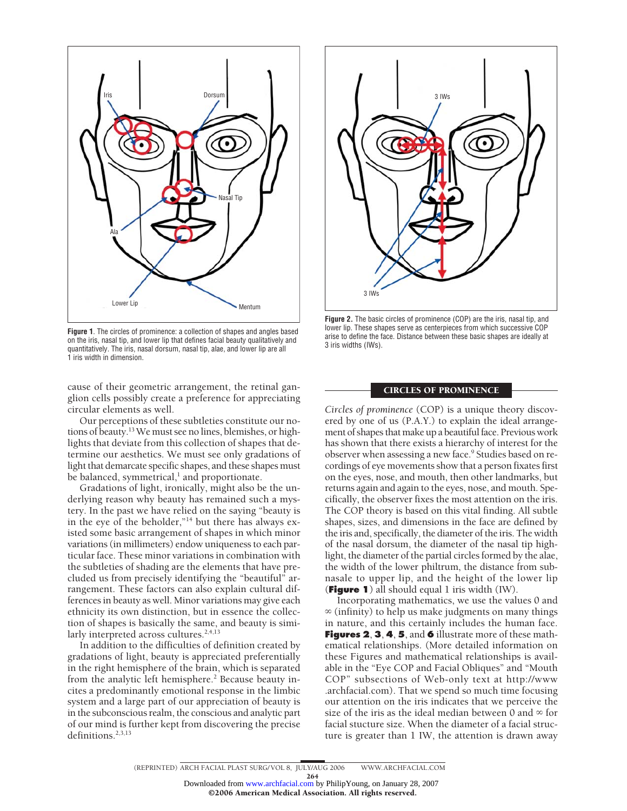

**Figure 1**. The circles of prominence: a collection of shapes and angles based on the iris, nasal tip, and lower lip that defines facial beauty qualitatively and quantitatively. The iris, nasal dorsum, nasal tip, alae, and lower lip are all 1 iris width in dimension.

cause of their geometric arrangement, the retinal ganglion cells possibly create a preference for appreciating circular elements as well.

Our perceptions of these subtleties constitute our notions of beauty.13We must see no lines, blemishes, or highlights that deviate from this collection of shapes that determine our aesthetics. We must see only gradations of light that demarcate specific shapes, and these shapes must be balanced, symmetrical,<sup>1</sup> and proportionate.

Gradations of light, ironically, might also be the underlying reason why beauty has remained such a mystery. In the past we have relied on the saying "beauty is in the eye of the beholder,"14 but there has always existed some basic arrangement of shapes in which minor variations (in millimeters) endow uniqueness to each particular face. These minor variations in combination with the subtleties of shading are the elements that have precluded us from precisely identifying the "beautiful" arrangement. These factors can also explain cultural differences in beauty as well. Minor variations may give each ethnicity its own distinction, but in essence the collection of shapes is basically the same, and beauty is similarly interpreted across cultures.<sup>2,4,13</sup>

In addition to the difficulties of definition created by gradations of light, beauty is appreciated preferentially in the right hemisphere of the brain, which is separated from the analytic left hemisphere.<sup>2</sup> Because beauty incites a predominantly emotional response in the limbic system and a large part of our appreciation of beauty is in the subconscious realm, the conscious and analytic part of our mind is further kept from discovering the precise definitions. $2,3,13$ 



**Figure 2.** The basic circles of prominence (COP) are the iris, nasal tip, and lower lip. These shapes serve as centerpieces from which successive COP arise to define the face. Distance between these basic shapes are ideally at 3 iris widths (IWs).

#### CIRCLES OF PROMINENCE

*Circles of prominence* (COP) is a unique theory discovered by one of us (P.A.Y.) to explain the ideal arrangement of shapes that make up a beautiful face. Previous work has shown that there exists a hierarchy of interest for the observer when assessing a new face.<sup>9</sup> Studies based on recordings of eye movements show that a person fixates first on the eyes, nose, and mouth, then other landmarks, but returns again and again to the eyes, nose, and mouth. Specifically, the observer fixes the most attention on the iris. The COP theory is based on this vital finding. All subtle shapes, sizes, and dimensions in the face are defined by the iris and, specifically, the diameter of the iris. The width of the nasal dorsum, the diameter of the nasal tip highlight, the diameter of the partial circles formed by the alae, the width of the lower philtrum, the distance from subnasale to upper lip, and the height of the lower lip (**Figure 1**) all should equal 1 iris width (IW).

Incorporating mathematics, we use the values 0 and  $\infty$  (infinity) to help us make judgments on many things in nature, and this certainly includes the human face. **Figures 2**, **3**, **4**, **5**, and **6** illustrate more of these mathematical relationships. (More detailed information on these Figures and mathematical relationships is available in the "Eye COP and Facial Obliques" and "Mouth COP" subsections of Web-only text at http://www .archfacial.com). That we spend so much time focusing our attention on the iris indicates that we perceive the size of the iris as the ideal median between 0 and  $\infty$  for facial stucture size. When the diameter of a facial structure is greater than 1 IW, the attention is drawn away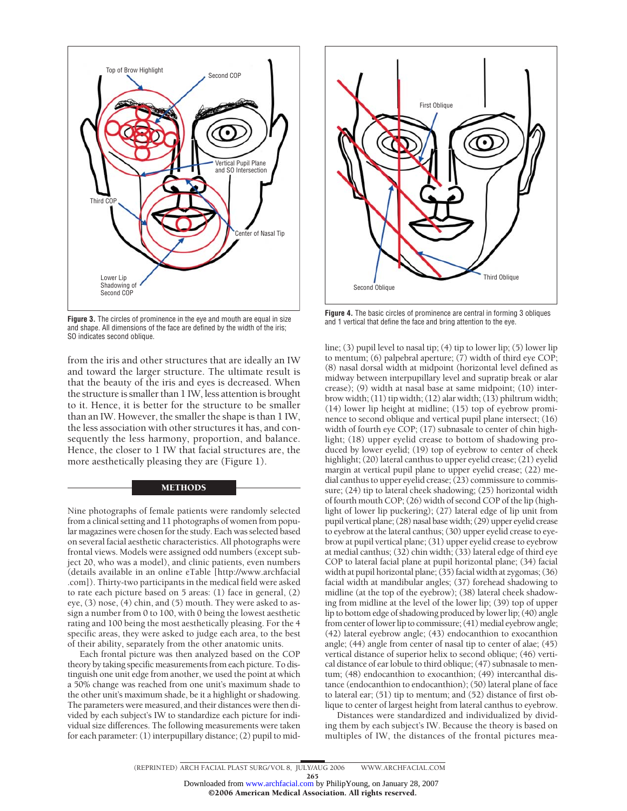

**Figure 3.** The circles of prominence in the eye and mouth are equal in size and shape. All dimensions of the face are defined by the width of the iris; SO indicates second oblique.

from the iris and other structures that are ideally an IW and toward the larger structure. The ultimate result is that the beauty of the iris and eyes is decreased. When the structure is smaller than 1 IW, less attention is brought to it. Hence, it is better for the structure to be smaller than an IW. However, the smaller the shape is than 1 IW, the less association with other structures it has, and consequently the less harmony, proportion, and balance. Hence, the closer to 1 IW that facial structures are, the more aesthetically pleasing they are (Figure 1).

#### METHODS

Nine photographs of female patients were randomly selected from a clinical setting and 11 photographs of women from popular magazines were chosen for the study. Each was selected based on several facial aesthetic characteristics. All photographs were frontal views. Models were assigned odd numbers (except subject 20, who was a model), and clinic patients, even numbers (details available in an online eTable [http://www.archfacial .com]). Thirty-two participants in the medical field were asked to rate each picture based on 5 areas: (1) face in general, (2) eye, (3) nose, (4) chin, and (5) mouth. They were asked to assign a number from 0 to 100, with 0 being the lowest aesthetic rating and 100 being the most aesthetically pleasing. For the 4 specific areas, they were asked to judge each area, to the best of their ability, separately from the other anatomic units.

Each frontal picture was then analyzed based on the COP theory by taking specific measurements from each picture. To distinguish one unit edge from another, we used the point at which a 50% change was reached from one unit's maximum shade to the other unit's maximum shade, be it a highlight or shadowing. The parameters were measured, and their distances were then divided by each subject's IW to standardize each picture for individual size differences. The following measurements were taken for each parameter: (1) interpupillary distance; (2) pupil to mid-



**Figure 4.** The basic circles of prominence are central in forming 3 obliques and 1 vertical that define the face and bring attention to the eye.

line; (3) pupil level to nasal tip; (4) tip to lower lip; (5) lower lip to mentum; (6) palpebral aperture; (7) width of third eye COP; (8) nasal dorsal width at midpoint (horizontal level defined as midway between interpupillary level and supratip break or alar crease); (9) width at nasal base at same midpoint; (10) interbrow width; (11) tip width; (12) alar width; (13) philtrum width; (14) lower lip height at midline; (15) top of eyebrow prominence to second oblique and vertical pupil plane intersect; (16) width of fourth eye COP; (17) subnasale to center of chin highlight; (18) upper eyelid crease to bottom of shadowing produced by lower eyelid; (19) top of eyebrow to center of cheek highlight; (20) lateral canthus to upper eyelid crease; (21) eyelid margin at vertical pupil plane to upper eyelid crease; (22) medial canthus to upper eyelid crease; (23) commissure to commissure; (24) tip to lateral cheek shadowing; (25) horizontal width of fourth mouth COP; (26) width of second COP of the lip (highlight of lower lip puckering); (27) lateral edge of lip unit from pupil vertical plane; (28) nasal base width; (29) upper eyelid crease to eyebrow at the lateral canthus; (30) upper eyelid crease to eyebrow at pupil vertical plane; (31) upper eyelid crease to eyebrow at medial canthus; (32) chin width; (33) lateral edge of third eye COP to lateral facial plane at pupil horizontal plane; (34) facial width at pupil horizontal plane; (35) facial width at zygomas; (36) facial width at mandibular angles; (37) forehead shadowing to midline (at the top of the eyebrow); (38) lateral cheek shadowing from midline at the level of the lower lip; (39) top of upper lip to bottom edge of shadowing produced by lower lip; (40) angle from center of lower lip to commissure; (41) medial eyebrow angle; (42) lateral eyebrow angle; (43) endocanthion to exocanthion angle; (44) angle from center of nasal tip to center of alae; (45) vertical distance of superior helix to second oblique; (46) vertical distance of ear lobule to third oblique; (47) subnasale to mentum; (48) endocanthion to exocanthion; (49) intercanthal distance (endocanthion to endocanthion); (50) lateral plane of face to lateral ear; (51) tip to mentum; and (52) distance of first oblique to center of largest height from lateral canthus to eyebrow.

Distances were standardized and individualized by dividing them by each subject's IW. Because the theory is based on multiples of IW, the distances of the frontal pictures mea-

©2006 American Medical Association. All rights reserved.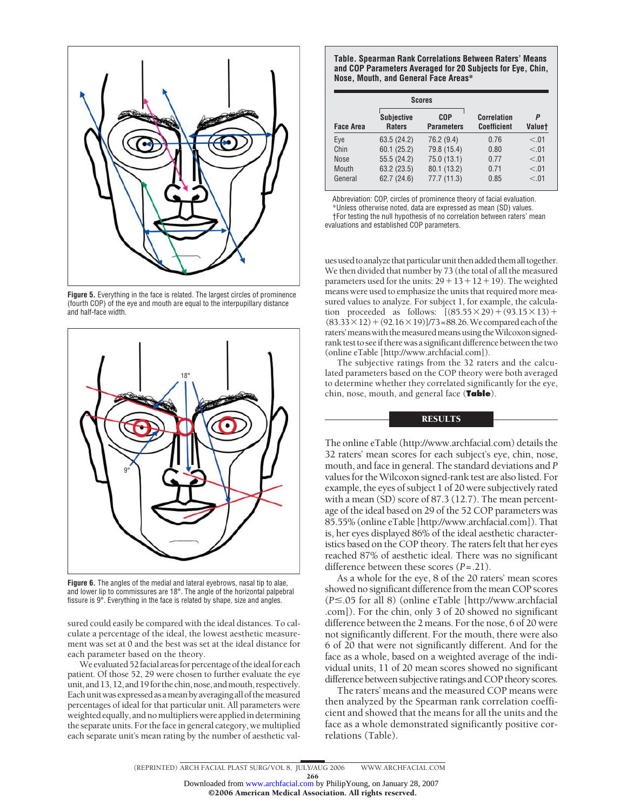

**Figure 5.** Everything in the face is related. The largest circles of prominence (fourth COP) of the eye and mouth are equal to the interpupillary distance and half-face width.



**Figure 6.** The angles of the medial and lateral eyebrows, nasal tip to alae, and lower lip to commissures are 18°. The angle of the horizontal palpebral fissure is 9°. Everything in the face is related by shape, size and angles.

sured could easily be compared with the ideal distances. To calculate a percentage of the ideal, the lowest aesthetic measurement was set at 0 and the best was set at the ideal distance for each parameter based on the theory.

We evaluated 52 facial areas for percentage of the ideal for each patient. Of those 52, 29 were chosen to further evaluate the eye unit, and 13, 12, and 19 for the chin, nose, and mouth, respectively. Each unitwas expressed as amean by averaging all of themeasured percentages of ideal for that particular unit. All parameters were weighted equally, and no multipliers were applied in determining the separate units. For the face in general category, we multiplied each separate unit's mean rating by the number of aesthetic val-

**Table. Spearman Rank Correlations Between Raters' Means and COP Parameters Averaged for 20 Subjects for Eye, Chin, Nose, Mouth, and General Face Areas\***

|                  |                                    | <b>Scores</b>                   |                                          |                    |  |
|------------------|------------------------------------|---------------------------------|------------------------------------------|--------------------|--|
| <b>Face Area</b> | <b>Subjective</b><br><b>Raters</b> | <b>COP</b><br><b>Parameters</b> | <b>Correlation</b><br><b>Coefficient</b> | P<br><b>Valuet</b> |  |
| Eye              | 63.5 (24.2)                        | 76.2 (9.4)                      | 0.76                                     | < 01               |  |
| Chin             | 60.1(25.2)                         | 79.8 (15.4)                     | 0.80                                     | < 01               |  |
| <b>Nose</b>      | 55.5(24.2)                         | 75.0 (13.1)                     | 0.77                                     | < 01               |  |
| Mouth            | 63.2 (23.5)                        | 80.1 (13.2)                     | 0.71                                     | < 01               |  |
| General          | 62.7(24.6)                         | 77.7 (11.3)                     | 0.85                                     | < 0.01             |  |

Abbreviation: COP, circles of prominence theory of facial evaluation.

\*Unless otherwise noted, data are expressed as mean (SD) values.

†For testing the null hypothesis of no correlation between raters' mean evaluations and established COP parameters.

ues used to analyze that particular unit then added them all together. We then divided that number by 73 (the total of all the measured parameters used for the units:  $29 + 13 + 12 + 19$ ). The weighted means were used to emphasize the units that required more measured values to analyze. For subject 1, for example, the calculation proceeded as follows:  $[(85.55 \times 29) + (93.15 \times 13) +$  $(83.33 \times 12) + (92.16 \times 19)$ ]/73=88.26. We compared each of the raters' means with the measured means using the Wilcoxon signedrank test to see if there was a significant difference between the two (online eTable [http://www.archfacial.com]).

The subjective ratings from the 32 raters and the calculated parameters based on the COP theory were both averaged to determine whether they correlated significantly for the eye, chin, nose, mouth, and general face (**Table**).

# **RESULTS**

The online eTable (http://www.archfacial.com) details the 32 raters' mean scores for each subject's eye, chin, nose, mouth, and face in general. The standard deviations and *P* values for theWilcoxon signed-rank test are also listed. For example, the eyes of subject 1 of 20 were subjectively rated with a mean (SD) score of 87.3 (12.7). The mean percentage of the ideal based on 29 of the 52 COP parameters was 85.55% (online eTable [http://www.archfacial.com]). That is, her eyes displayed 86% of the ideal aesthetic characteristics based on the COP theory. The raters felt that her eyes reached 87% of aesthetic ideal. There was no significant difference between these scores (*P*=.21).

As a whole for the eye, 8 of the 20 raters' mean scores showed no significant difference from the mean COP scores (*P*.05 for all 8) (online eTable [http://www.archfacial .com]). For the chin, only 3 of 20 showed no significant difference between the 2 means. For the nose, 6 of 20 were not significantly different. For the mouth, there were also 6 of 20 that were not significantly different. And for the face as a whole, based on a weighted average of the individual units, 11 of 20 mean scores showed no significant difference between subjective ratings and COP theory scores.

The raters' means and the measured COP means were then analyzed by the Spearman rank correlation coefficient and showed that the means for all the units and the face as a whole demonstrated significantly positive correlations (Table).

(REPRINTED) ARCH FACIAL PLAST SURG/ VOL 8, JULY/AUG 2006 WWW.ARCHFACIAL.COM

266 ©2006 American Medical Association. All rights reserved. Downloaded from [www.archfacial.com](http://www.archfacial.com) by PhilipYoung, on January 28, 2007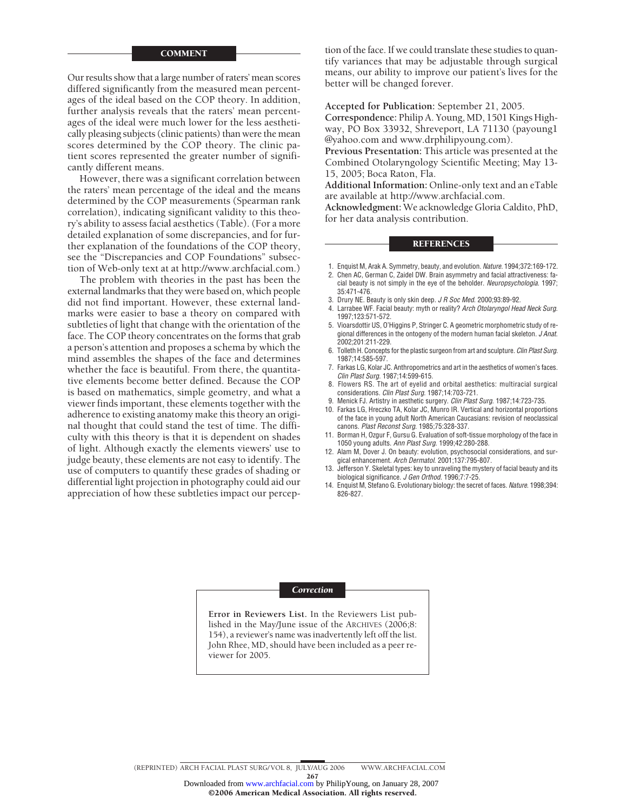#### COMMENT

Our results show that a large number of raters' mean scores differed significantly from the measured mean percentages of the ideal based on the COP theory. In addition, further analysis reveals that the raters' mean percentages of the ideal were much lower for the less aesthetically pleasing subjects (clinic patients) than were the mean scores determined by the COP theory. The clinic patient scores represented the greater number of significantly different means.

However, there was a significant correlation between the raters' mean percentage of the ideal and the means determined by the COP measurements (Spearman rank correlation), indicating significant validity to this theory's ability to assess facial aesthetics (Table). (For a more detailed explanation of some discrepancies, and for further explanation of the foundations of the COP theory, see the "Discrepancies and COP Foundations" subsection of Web-only text at at http://www.archfacial.com.)

The problem with theories in the past has been the external landmarks that they were based on, which people did not find important. However, these external landmarks were easier to base a theory on compared with subtleties of light that change with the orientation of the face. The COP theory concentrates on the forms that grab a person's attention and proposes a schema by which the mind assembles the shapes of the face and determines whether the face is beautiful. From there, the quantitative elements become better defined. Because the COP is based on mathematics, simple geometry, and what a viewer finds important, these elements together with the adherence to existing anatomy make this theory an original thought that could stand the test of time. The difficulty with this theory is that it is dependent on shades of light. Although exactly the elements viewers' use to judge beauty, these elements are not easy to identify. The use of computers to quantify these grades of shading or differential light projection in photography could aid our appreciation of how these subtleties impact our percep-

tion of the face. If we could translate these studies to quantify variances that may be adjustable through surgical means, our ability to improve our patient's lives for the better will be changed forever.

**Accepted for Publication:** September 21, 2005.

**Correspondence:** Philip A. Young, MD, 1501 Kings Highway, PO Box 33932, Shreveport, LA 71130 (payoung1 @yahoo.com and www.drphilipyoung.com).

**Previous Presentation:** This article was presented at the Combined Otolaryngology Scientific Meeting; May 13- 15, 2005; Boca Raton, Fla.

**Additional Information:** Online-only text and an eTable are available at http://www.archfacial.com.

**Acknowledgment:** We acknowledge Gloria Caldito, PhD, for her data analysis contribution.

#### **REFERENCES**

- 1. Enquist M, Arak A. Symmetry, beauty, and evolution. *Nature*. 1994;372:169-172.
- 2. Chen AC, German C, Zaidel DW. Brain asymmetry and facial attractiveness: facial beauty is not simply in the eye of the beholder. *Neuropsychologia*. 1997; 35:471-476.
- 3. Drury NE. Beauty is only skin deep. *J R Soc Med*. 2000;93:89-92.
- 4. Larrabee WF. Facial beauty: myth or reality? *Arch Otolaryngol Head Neck Surg*. 1997;123:571-572.
- 5. Vioarsdottir US, O'Higgins P, Stringer C. A geometric morphometric study of regional differences in the ontogeny of the modern human facial skeleton. *J Anat*. 2002;201:211-229.
- 6. Tolleth H. Concepts for the plastic surgeon from art and sculpture. *Clin Plast Surg*. 1987;14:585-597.
- 7. Farkas LG, Kolar JC. Anthropometrics and art in the aesthetics of women's faces. *Clin Plast Surg*. 1987;14:599-615.
- 8. Flowers RS. The art of eyelid and orbital aesthetics: multiracial surgical considerations. *Clin Plast Surg*. 1987;14:703-721.
- 9. Menick FJ. Artistry in aesthetic surgery. *Clin Plast Surg*. 1987;14:723-735.
- 10. Farkas LG, Hreczko TA, Kolar JC, Munro IR. Vertical and horizontal proportions of the face in young adult North American Caucasians: revision of neoclassical canons*. Plast Reconst Surg*. 1985;75:328-337.
- 11. Borman H, Ozgur F, Gursu G. Evaluation of soft-tissue morphology of the face in 1050 young adults. *Ann Plast Surg*. 1999;42:280-288.
- 12. Alam M, Dover J. On beauty: evolution, psychosocial considerations, and surgical enhancement. *Arch Dermatol*. 2001;137:795-807.
- 13. Jefferson Y. Skeletal types: key to unraveling the mystery of facial beauty and its biological significance. *J Gen Orthod*. 1996;7:7-25.
- 14. Enquist M, Stefano G. Evolutionary biology: the secret of faces. *Nature*. 1998;394: 826-827.

#### *Correction*

**Error in Reviewers List.** In the Reviewers List published in the May/June issue of the ARCHIVES (2006;8: 154), a reviewer's name was inadvertently left off the list. John Rhee, MD, should have been included as a peer reviewer for 2005.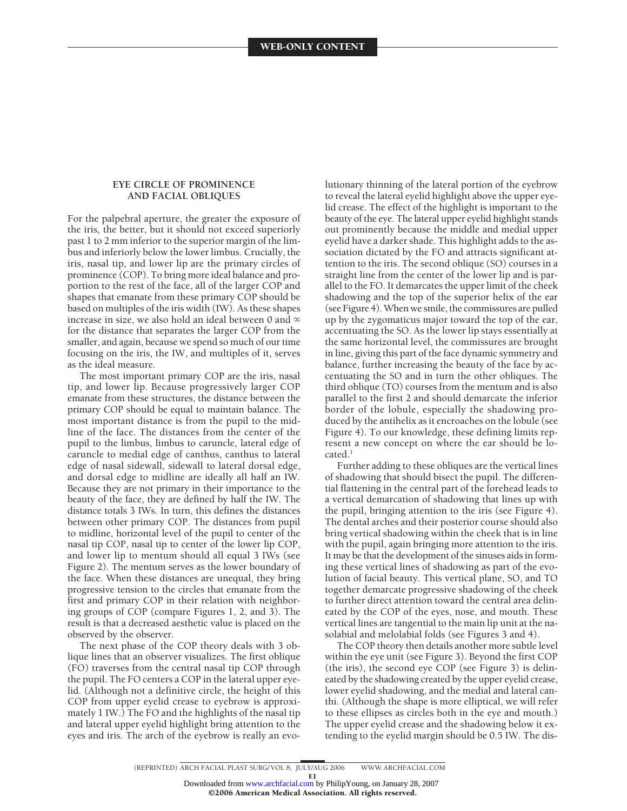### **EYE CIRCLE OF PROMINENCE AND FACIAL OBLIQUES**

For the palpebral aperture, the greater the exposure of the iris, the better, but it should not exceed superiorly past 1 to 2 mm inferior to the superior margin of the limbus and inferiorly below the lower limbus. Crucially, the iris, nasal tip, and lower lip are the primary circles of prominence (COP). To bring more ideal balance and proportion to the rest of the face, all of the larger COP and shapes that emanate from these primary COP should be based on multiples of the iris width (IW). As these shapes increase in size, we also hold an ideal between 0 and  $\infty$ for the distance that separates the larger COP from the smaller, and again, because we spend so much of our time focusing on the iris, the IW, and multiples of it, serves as the ideal measure.

The most important primary COP are the iris, nasal tip, and lower lip. Because progressively larger COP emanate from these structures, the distance between the primary COP should be equal to maintain balance. The most important distance is from the pupil to the midline of the face. The distances from the center of the pupil to the limbus, limbus to caruncle, lateral edge of caruncle to medial edge of canthus, canthus to lateral edge of nasal sidewall, sidewall to lateral dorsal edge, and dorsal edge to midline are ideally all half an IW. Because they are not primary in their importance to the beauty of the face, they are defined by half the IW. The distance totals 3 IWs. In turn, this defines the distances between other primary COP. The distances from pupil to midline, horizontal level of the pupil to center of the nasal tip COP, nasal tip to center of the lower lip COP, and lower lip to mentum should all equal 3 IWs (see Figure 2). The mentum serves as the lower boundary of the face. When these distances are unequal, they bring progressive tension to the circles that emanate from the first and primary COP in their relation with neighboring groups of COP (compare Figures 1, 2, and 3). The result is that a decreased aesthetic value is placed on the observed by the observer.

The next phase of the COP theory deals with 3 oblique lines that an observer visualizes. The first oblique (FO) traverses from the central nasal tip COP through the pupil. The FO centers a COP in the lateral upper eyelid. (Although not a definitive circle, the height of this COP from upper eyelid crease to eyebrow is approximately 1 IW.) The FO and the highlights of the nasal tip and lateral upper eyelid highlight bring attention to the eyes and iris. The arch of the eyebrow is really an evolutionary thinning of the lateral portion of the eyebrow to reveal the lateral eyelid highlight above the upper eyelid crease. The effect of the highlight is important to the beauty of the eye. The lateral upper eyelid highlight stands out prominently because the middle and medial upper eyelid have a darker shade. This highlight adds to the association dictated by the FO and attracts significant attention to the iris. The second oblique (SO) courses in a straight line from the center of the lower lip and is parallel to the FO. It demarcates the upper limit of the cheek shadowing and the top of the superior helix of the ear (see Figure 4).When we smile, the commissures are pulled up by the zygomaticus major toward the top of the ear, accentuating the SO. As the lower lip stays essentially at the same horizontal level, the commissures are brought in line, giving this part of the face dynamic symmetry and balance, further increasing the beauty of the face by accentuating the SO and in turn the other obliques. The third oblique (TO) courses from the mentum and is also parallel to the first 2 and should demarcate the inferior border of the lobule, especially the shadowing produced by the antihelix as it encroaches on the lobule (see Figure 4). To our knowledge, these defining limits represent a new concept on where the ear should be lo $cated.<sup>1</sup>$ 

Further adding to these obliques are the vertical lines of shadowing that should bisect the pupil. The differential flattening in the central part of the forehead leads to a vertical demarcation of shadowing that lines up with the pupil, bringing attention to the iris (see Figure 4). The dental arches and their posterior course should also bring vertical shadowing within the cheek that is in line with the pupil, again bringing more attention to the iris. It may be that the development of the sinuses aids in forming these vertical lines of shadowing as part of the evolution of facial beauty. This vertical plane, SO, and TO together demarcate progressive shadowing of the cheek to further direct attention toward the central area delineated by the COP of the eyes, nose, and mouth. These vertical lines are tangential to the main lip unit at the nasolabial and melolabial folds (see Figures 3 and 4).

The COP theory then details another more subtle level within the eye unit (see Figure 3). Beyond the first COP (the iris), the second eye COP (see Figure 3) is delineated by the shadowing created by the upper eyelid crease, lower eyelid shadowing, and the medial and lateral canthi. (Although the shape is more elliptical, we will refer to these ellipses as circles both in the eye and mouth.) The upper eyelid crease and the shadowing below it extending to the eyelid margin should be 0.5 IW. The dis-

E1 ©2006 American Medical Association. All rights reserved. Downloaded from [www.archfacial.com](http://www.archfacial.com) by PhilipYoung, on January 28, 2007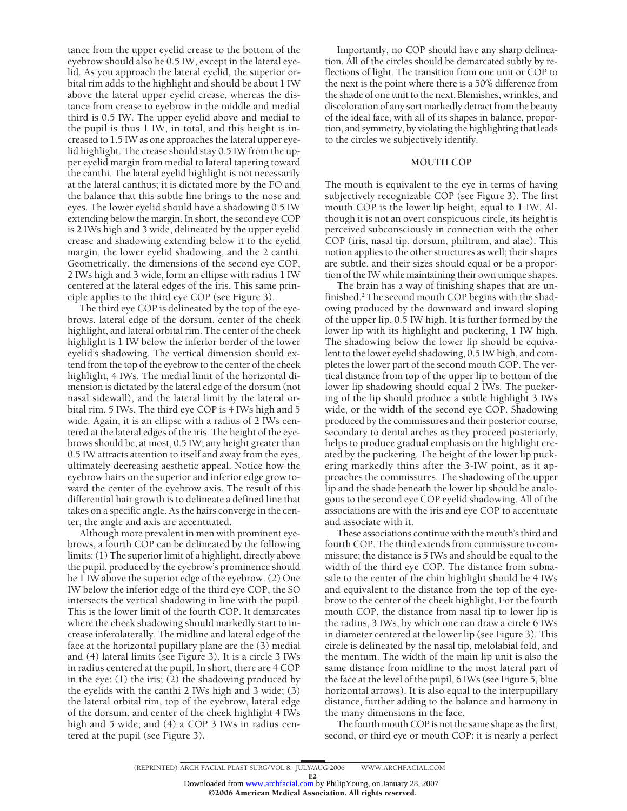tance from the upper eyelid crease to the bottom of the eyebrow should also be 0.5 IW, except in the lateral eyelid. As you approach the lateral eyelid, the superior orbital rim adds to the highlight and should be about 1 IW above the lateral upper eyelid crease, whereas the distance from crease to eyebrow in the middle and medial third is 0.5 IW. The upper eyelid above and medial to the pupil is thus 1 IW, in total, and this height is increased to 1.5 IW as one approaches the lateral upper eyelid highlight. The crease should stay 0.5 IW from the upper eyelid margin from medial to lateral tapering toward the canthi. The lateral eyelid highlight is not necessarily at the lateral canthus; it is dictated more by the FO and the balance that this subtle line brings to the nose and eyes. The lower eyelid should have a shadowing 0.5 IW extending below the margin. In short, the second eye COP is 2 IWs high and 3 wide, delineated by the upper eyelid crease and shadowing extending below it to the eyelid margin, the lower eyelid shadowing, and the 2 canthi. Geometrically, the dimensions of the second eye COP, 2 IWs high and 3 wide, form an ellipse with radius 1 IW centered at the lateral edges of the iris. This same principle applies to the third eye COP (see Figure 3).

The third eye COP is delineated by the top of the eyebrows, lateral edge of the dorsum, center of the cheek highlight, and lateral orbital rim. The center of the cheek highlight is 1 IW below the inferior border of the lower eyelid's shadowing. The vertical dimension should extend from the top of the eyebrow to the center of the cheek highlight, 4 IWs. The medial limit of the horizontal dimension is dictated by the lateral edge of the dorsum (not nasal sidewall), and the lateral limit by the lateral orbital rim, 5 IWs. The third eye COP is 4 IWs high and 5 wide. Again, it is an ellipse with a radius of 2 IWs centered at the lateral edges of the iris. The height of the eyebrows should be, at most, 0.5 IW; any height greater than 0.5 IW attracts attention to itself and away from the eyes, ultimately decreasing aesthetic appeal. Notice how the eyebrow hairs on the superior and inferior edge grow toward the center of the eyebrow axis. The result of this differential hair growth is to delineate a defined line that takes on a specific angle. As the hairs converge in the center, the angle and axis are accentuated.

Although more prevalent in men with prominent eyebrows, a fourth COP can be delineated by the following limits: (1) The superior limit of a highlight, directly above the pupil, produced by the eyebrow's prominence should be 1 IW above the superior edge of the eyebrow. (2) One IW below the inferior edge of the third eye COP, the SO intersects the vertical shadowing in line with the pupil. This is the lower limit of the fourth COP. It demarcates where the cheek shadowing should markedly start to increase inferolaterally. The midline and lateral edge of the face at the horizontal pupillary plane are the (3) medial and (4) lateral limits (see Figure 3). It is a circle 3 IWs in radius centered at the pupil. In short, there are 4 COP in the eye: (1) the iris; (2) the shadowing produced by the eyelids with the canthi 2 IWs high and 3 wide; (3) the lateral orbital rim, top of the eyebrow, lateral edge of the dorsum, and center of the cheek highlight 4 IWs high and 5 wide; and (4) a COP 3 IWs in radius centered at the pupil (see Figure 3).

Importantly, no COP should have any sharp delineation. All of the circles should be demarcated subtly by reflections of light. The transition from one unit or COP to the next is the point where there is a 50% difference from the shade of one unit to the next. Blemishes, wrinkles, and discoloration of any sort markedly detract from the beauty of the ideal face, with all of its shapes in balance, proportion, and symmetry, by violating the highlighting that leads to the circles we subjectively identify.

#### **MOUTH COP**

The mouth is equivalent to the eye in terms of having subjectively recognizable COP (see Figure 3). The first mouth COP is the lower lip height, equal to 1 IW. Although it is not an overt conspicuous circle, its height is perceived subconsciously in connection with the other COP (iris, nasal tip, dorsum, philtrum, and alae). This notion applies to the other structures as well; their shapes are subtle, and their sizes should equal or be a proportion of the IW while maintaining their own unique shapes.

The brain has a way of finishing shapes that are unfinished.<sup>2</sup> The second mouth COP begins with the shadowing produced by the downward and inward sloping of the upper lip, 0.5 IW high. It is further formed by the lower lip with its highlight and puckering, 1 IW high. The shadowing below the lower lip should be equivalent to the lower eyelid shadowing, 0.5 IW high, and completes the lower part of the second mouth COP. The vertical distance from top of the upper lip to bottom of the lower lip shadowing should equal 2 IWs. The puckering of the lip should produce a subtle highlight 3 IWs wide, or the width of the second eye COP. Shadowing produced by the commissures and their posterior course, secondary to dental arches as they proceed posteriorly, helps to produce gradual emphasis on the highlight created by the puckering. The height of the lower lip puckering markedly thins after the 3-IW point, as it approaches the commissures. The shadowing of the upper lip and the shade beneath the lower lip should be analogous to the second eye COP eyelid shadowing. All of the associations are with the iris and eye COP to accentuate and associate with it.

These associations continue with the mouth's third and fourth COP. The third extends from commissure to commissure; the distance is 5 IWs and should be equal to the width of the third eye COP. The distance from subnasale to the center of the chin highlight should be 4 IWs and equivalent to the distance from the top of the eyebrow to the center of the cheek highlight. For the fourth mouth COP, the distance from nasal tip to lower lip is the radius, 3 IWs, by which one can draw a circle 6 IWs in diameter centered at the lower lip (see Figure 3). This circle is delineated by the nasal tip, melolabial fold, and the mentum. The width of the main lip unit is also the same distance from midline to the most lateral part of the face at the level of the pupil, 6 IWs (see Figure 5, blue horizontal arrows). It is also equal to the interpupillary distance, further adding to the balance and harmony in the many dimensions in the face.

The fourth mouth COP is not the same shape as the first, second, or third eye or mouth COP: it is nearly a perfect

©2006 American Medical Association. All rights reserved.

E2 Downloaded from [www.archfacial.com](http://www.archfacial.com) by PhilipYoung, on January 28, 2007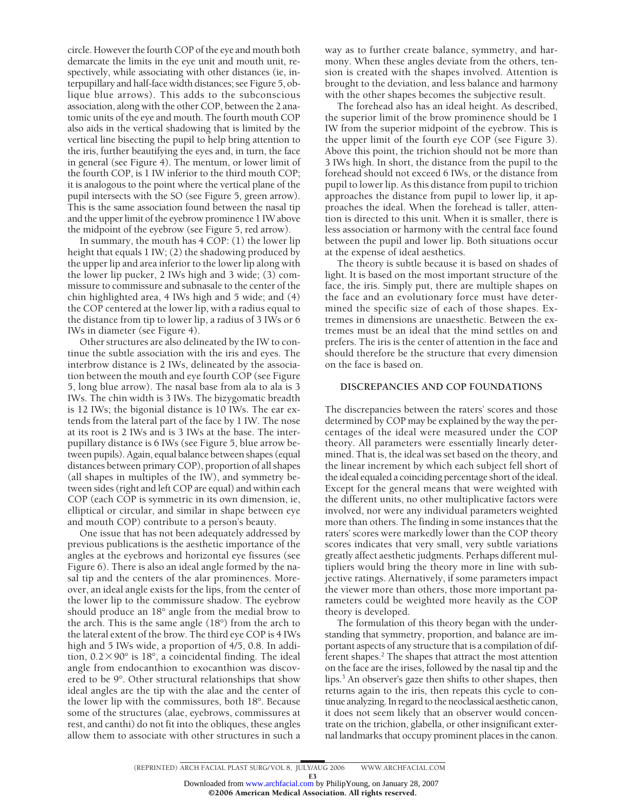circle. However the fourth COP of the eye and mouth both demarcate the limits in the eye unit and mouth unit, respectively, while associating with other distances (ie, interpupillary and half-face width distances; see Figure 5, oblique blue arrows). This adds to the subconscious association, along with the other COP, between the 2 anatomic units of the eye and mouth. The fourth mouth COP also aids in the vertical shadowing that is limited by the vertical line bisecting the pupil to help bring attention to the iris, further beautifying the eyes and, in turn, the face in general (see Figure 4). The mentum, or lower limit of the fourth COP, is 1 IW inferior to the third mouth COP; it is analogous to the point where the vertical plane of the pupil intersects with the SO (see Figure 5, green arrow). This is the same association found between the nasal tip and the upper limit of the eyebrow prominence 1 IW above the midpoint of the eyebrow (see Figure 5, red arrow).

In summary, the mouth has 4 COP: (1) the lower lip height that equals 1 IW; (2) the shadowing produced by the upper lip and area inferior to the lower lip along with the lower lip pucker, 2 IWs high and 3 wide; (3) commissure to commissure and subnasale to the center of the chin highlighted area, 4 IWs high and 5 wide; and (4) the COP centered at the lower lip, with a radius equal to the distance from tip to lower lip, a radius of 3 IWs or 6 IWs in diameter (see Figure 4).

Other structures are also delineated by the IW to continue the subtle association with the iris and eyes. The interbrow distance is 2 IWs, delineated by the association between the mouth and eye fourth COP (see Figure 5, long blue arrow). The nasal base from ala to ala is 3 IWs. The chin width is 3 IWs. The bizygomatic breadth is 12 IWs; the bigonial distance is 10 IWs. The ear extends from the lateral part of the face by 1 IW. The nose at its root is 2 IWs and is 3 IWs at the base. The interpupillary distance is 6 IWs (see Figure 5, blue arrow between pupils). Again, equal balance between shapes (equal distances between primary COP), proportion of all shapes (all shapes in multiples of the IW), and symmetry between sides (right and left COP are equal) and within each COP (each COP is symmetric in its own dimension, ie, elliptical or circular, and similar in shape between eye and mouth COP) contribute to a person's beauty.

One issue that has not been adequately addressed by previous publications is the aesthetic importance of the angles at the eyebrows and horizontal eye fissures (see Figure 6). There is also an ideal angle formed by the nasal tip and the centers of the alar prominences. Moreover, an ideal angle exists for the lips, from the center of the lower lip to the commissure shadow. The eyebrow should produce an 18° angle from the medial brow to the arch. This is the same angle (18°) from the arch to the lateral extent of the brow. The third eye COP is 4 IWs high and 5 IWs wide, a proportion of  $4/5$ , 0.8. In addition,  $0.2 \times 90^{\circ}$  is 18°, a coincidental finding. The ideal angle from endocanthion to exocanthion was discovered to be 9°. Other structural relationships that show ideal angles are the tip with the alae and the center of the lower lip with the commissures, both 18°. Because some of the structures (alae, eyebrows, commissures at rest, and canthi) do not fit into the obliques, these angles allow them to associate with other structures in such a

way as to further create balance, symmetry, and harmony. When these angles deviate from the others, tension is created with the shapes involved. Attention is brought to the deviation, and less balance and harmony with the other shapes becomes the subjective result.

The forehead also has an ideal height. As described, the superior limit of the brow prominence should be 1 IW from the superior midpoint of the eyebrow. This is the upper limit of the fourth eye COP (see Figure 3). Above this point, the trichion should not be more than 3 IWs high. In short, the distance from the pupil to the forehead should not exceed 6 IWs, or the distance from pupil to lower lip. As this distance from pupil to trichion approaches the distance from pupil to lower lip, it approaches the ideal. When the forehead is taller, attention is directed to this unit. When it is smaller, there is less association or harmony with the central face found between the pupil and lower lip. Both situations occur at the expense of ideal aesthetics.

The theory is subtle because it is based on shades of light. It is based on the most important structure of the face, the iris. Simply put, there are multiple shapes on the face and an evolutionary force must have determined the specific size of each of those shapes. Extremes in dimensions are unaesthetic. Between the extremes must be an ideal that the mind settles on and prefers. The iris is the center of attention in the face and should therefore be the structure that every dimension on the face is based on.

#### **DISCREPANCIES AND COP FOUNDATIONS**

The discrepancies between the raters' scores and those determined by COP may be explained by the way the percentages of the ideal were measured under the COP theory. All parameters were essentially linearly determined. That is, the ideal was set based on the theory, and the linear increment by which each subject fell short of the ideal equaled a coinciding percentage short of the ideal. Except for the general means that were weighted with the different units, no other multiplicative factors were involved, nor were any individual parameters weighted more than others. The finding in some instances that the raters' scores were markedly lower than the COP theory scores indicates that very small, very subtle variations greatly affect aesthetic judgments. Perhaps different multipliers would bring the theory more in line with subjective ratings. Alternatively, if some parameters impact the viewer more than others, those more important parameters could be weighted more heavily as the COP theory is developed.

The formulation of this theory began with the understanding that symmetry, proportion, and balance are important aspects of any structure that is a compilation of different shapes.<sup>2</sup> The shapes that attract the most attention on the face are the irises, followed by the nasal tip and the lips.<sup>3</sup> An observer's gaze then shifts to other shapes, then returns again to the iris, then repeats this cycle to continue analyzing. In regard to the neoclassical aesthetic canon, it does not seem likely that an observer would concentrate on the trichion, glabella, or other insignificant external landmarks that occupy prominent places in the canon.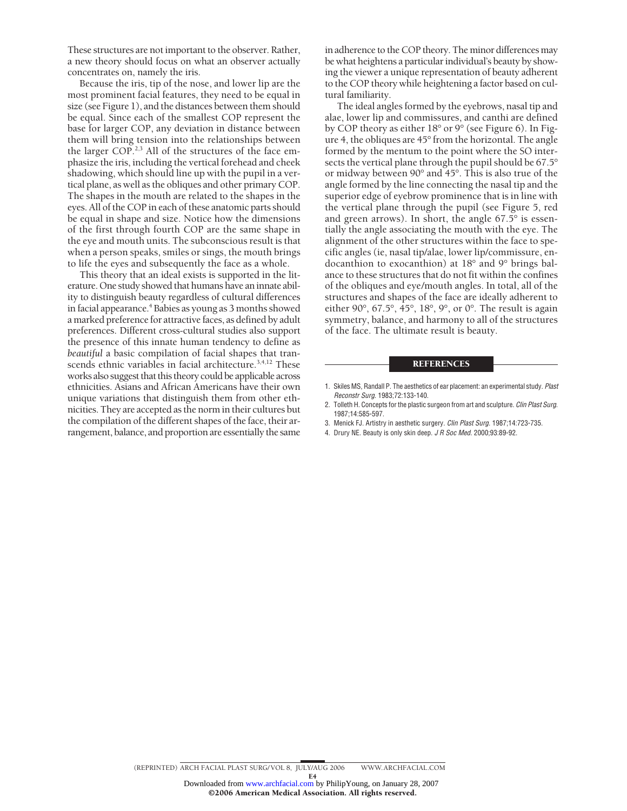These structures are not important to the observer. Rather, a new theory should focus on what an observer actually concentrates on, namely the iris.

Because the iris, tip of the nose, and lower lip are the most prominent facial features, they need to be equal in size (see Figure 1), and the distances between them should be equal. Since each of the smallest COP represent the base for larger COP, any deviation in distance between them will bring tension into the relationships between the larger COP.<sup>2,3</sup> All of the structures of the face emphasize the iris, including the vertical forehead and cheek shadowing, which should line up with the pupil in a vertical plane, as well as the obliques and other primary COP. The shapes in the mouth are related to the shapes in the eyes. All of the COP in each of these anatomic parts should be equal in shape and size. Notice how the dimensions of the first through fourth COP are the same shape in the eye and mouth units. The subconscious result is that when a person speaks, smiles or sings, the mouth brings to life the eyes and subsequently the face as a whole.

This theory that an ideal exists is supported in the literature. One study showed that humans have an innate ability to distinguish beauty regardless of cultural differences in facial appearance.<sup>4</sup> Babies as young as 3 months showed a marked preference for attractive faces, as defined by adult preferences. Different cross-cultural studies also support the presence of this innate human tendency to define as *beautiful* a basic compilation of facial shapes that transcends ethnic variables in facial architecture.<sup>3,4,12</sup> These works also suggest that this theory could be applicable across ethnicities. Asians and African Americans have their own unique variations that distinguish them from other ethnicities. They are accepted as the norm in their cultures but the compilation of the different shapes of the face, their arrangement, balance, and proportion are essentially the same in adherence to the COP theory. The minor differences may be what heightens a particular individual's beauty by showing the viewer a unique representation of beauty adherent to the COP theory while heightening a factor based on cultural familiarity.

The ideal angles formed by the eyebrows, nasal tip and alae, lower lip and commissures, and canthi are defined by COP theory as either 18° or 9° (see Figure 6). In Figure 4, the obliques are 45° from the horizontal. The angle formed by the mentum to the point where the SO intersects the vertical plane through the pupil should be 67.5° or midway between 90° and 45°. This is also true of the angle formed by the line connecting the nasal tip and the superior edge of eyebrow prominence that is in line with the vertical plane through the pupil (see Figure 5, red and green arrows). In short, the angle 67.5° is essentially the angle associating the mouth with the eye. The alignment of the other structures within the face to specific angles (ie, nasal tip/alae, lower lip/commissure, endocanthion to exocanthion) at 18° and 9° brings balance to these structures that do not fit within the confines of the obliques and eye/mouth angles. In total, all of the structures and shapes of the face are ideally adherent to either 90°, 67.5°, 45°, 18°, 9°, or 0°. The result is again symmetry, balance, and harmony to all of the structures of the face. The ultimate result is beauty.

#### **REFERENCES**

- 2. Tolleth H. Concepts for the plastic surgeon from art and sculpture. *Clin Plast Surg*. 1987;14:585-597.
- 3. Menick FJ. Artistry in aesthetic surgery. *Clin Plast Surg*. 1987;14:723-735.
- 4. Drury NE. Beauty is only skin deep. *J R Soc Med*. 2000;93:89-92.

<sup>1.</sup> Skiles MS, Randall P. The aesthetics of ear placement: an experimental study. *Plast Reconstr Surg*. 1983;72:133-140.